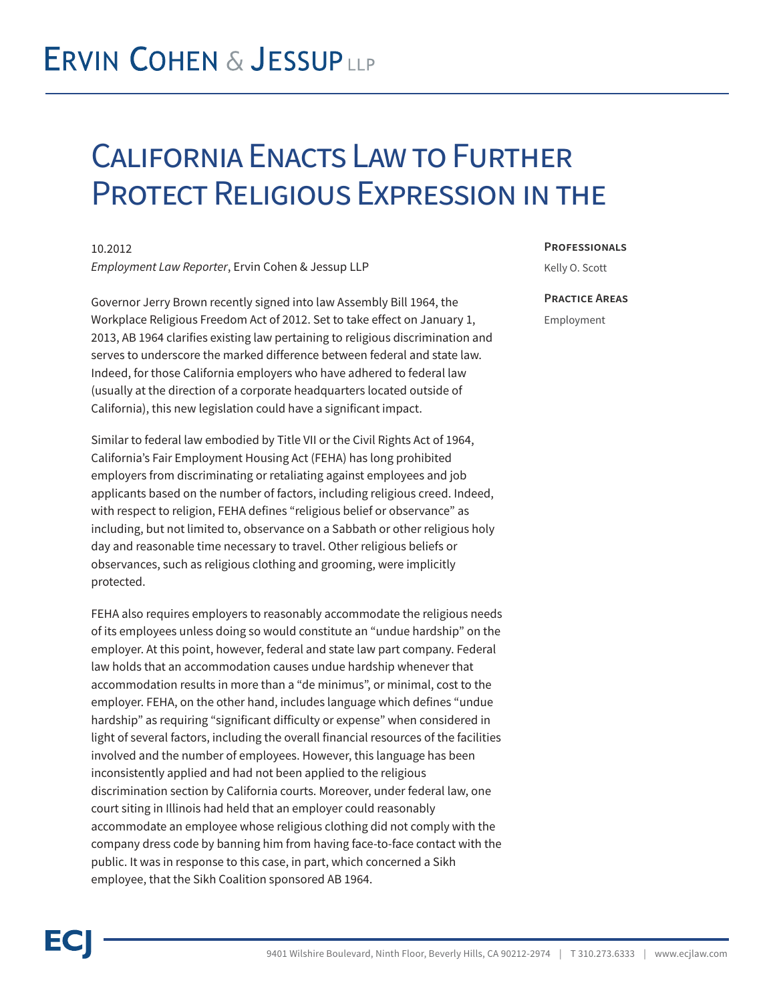## **ERVIN COHEN & JESSUPLLP**

### California Enacts Law to Further Protect Religious Expression in the

10.2012 *Employment Law Reporter*, Ervin Cohen & Jessup LLP

Governor Jerry Brown recently signed into law Assembly Bill 1964, the Workplace Religious Freedom Act of 2012. Set to take effect on January 1, 2013, AB 1964 clarifies existing law pertaining to religious discrimination and serves to underscore the marked difference between federal and state law. Indeed, for those California employers who have adhered to federal law (usually at the direction of a corporate headquarters located outside of California), this new legislation could have a significant impact.

Similar to federal law embodied by Title VII or the Civil Rights Act of 1964, California's Fair Employment Housing Act (FEHA) has long prohibited employers from discriminating or retaliating against employees and job applicants based on the number of factors, including religious creed. Indeed, with respect to religion, FEHA defines "religious belief or observance" as including, but not limited to, observance on a Sabbath or other religious holy day and reasonable time necessary to travel. Other religious beliefs or observances, such as religious clothing and grooming, were implicitly protected.

FEHA also requires employers to reasonably accommodate the religious needs of its employees unless doing so would constitute an "undue hardship" on the employer. At this point, however, federal and state law part company. Federal law holds that an accommodation causes undue hardship whenever that accommodation results in more than a "de minimus", or minimal, cost to the employer. FEHA, on the other hand, includes language which defines "undue hardship" as requiring "significant difficulty or expense" when considered in light of several factors, including the overall financial resources of the facilities involved and the number of employees. However, this language has been inconsistently applied and had not been applied to the religious discrimination section by California courts. Moreover, under federal law, one court siting in Illinois had held that an employer could reasonably accommodate an employee whose religious clothing did not comply with the company dress code by banning him from having face-to-face contact with the public. It was in response to this case, in part, which concerned a Sikh employee, that the Sikh Coalition sponsored AB 1964.

#### **Professionals**

Kelly O. Scott

#### **Practice Areas**

Employment